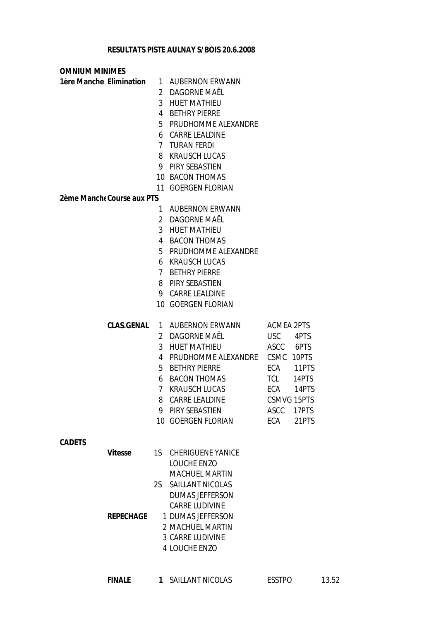| <b>OMNIUM MINIMES</b>   |                            |                |                          |                    |       |
|-------------------------|----------------------------|----------------|--------------------------|--------------------|-------|
| 1ère Manche Elimination |                            |                | 1 AUBERNON ERWANN        |                    |       |
|                         |                            |                | 2 DAGORNE MAËL           |                    |       |
|                         |                            | 3              | <b>HUET MATHIEU</b>      |                    |       |
|                         |                            | 4              | <b>BETHRY PIERRE</b>     |                    |       |
|                         |                            |                | 5 PRUDHOMME ALEXANDRE    |                    |       |
|                         |                            | 6              | <b>CARRE LEALDINE</b>    |                    |       |
|                         |                            |                | 7 TURAN FERDI            |                    |       |
|                         |                            | 8              | KRAUSCH LUCAS            |                    |       |
|                         |                            | 9              | PIRY SEBASTIEN           |                    |       |
|                         |                            |                | 10 BACON THOMAS          |                    |       |
|                         |                            | 11             | <b>GOERGEN FLORIAN</b>   |                    |       |
|                         | 2ème Manche Course aux PTS |                |                          |                    |       |
|                         |                            | 1.             | <b>AUBERNON ERWANN</b>   |                    |       |
|                         |                            | $\mathbf{2}$   | <b>DAGORNE MAËL</b>      |                    |       |
|                         |                            |                | 3 HUET MATHIEU           |                    |       |
|                         |                            |                | 4 BACON THOMAS           |                    |       |
|                         |                            |                | 5 PRUDHOMME ALEXANDRE    |                    |       |
|                         |                            | 6              | <b>KRAUSCH LUCAS</b>     |                    |       |
|                         |                            | $\overline{7}$ | <b>BETHRY PIERRE</b>     |                    |       |
|                         |                            |                | 8 PIRY SEBASTIEN         |                    |       |
|                         |                            |                | 9 CARRE LEALDINE         |                    |       |
|                         |                            |                | 10 GOERGEN FLORIAN       |                    |       |
|                         | CLAS.GENAL                 | $\mathbf{1}$   | <b>AUBERNON ERWANN</b>   | <b>ACMEA 2PTS</b>  |       |
|                         |                            |                | 2 DAGORNE MAËL           | <b>USC</b>         | 4PTS  |
|                         |                            |                | 3 HUET MATHIEU           | ASCC               | 6PTS  |
|                         |                            | 4              | PRUDHOMME ALEXANDRE      | <b>CSMC</b>        | 10PTS |
|                         |                            | 5              | <b>BETHRY PIERRE</b>     | ECA                | 11PTS |
|                         |                            | 6              | <b>BACON THOMAS</b>      | <b>TCL</b>         | 14PTS |
|                         |                            | $\overline{7}$ | <b>KRAUSCH LUCAS</b>     | ECA                | 14PTS |
|                         |                            | 8              | <b>CARRE LEALDINE</b>    | <b>CSMVG 15PTS</b> |       |
|                         |                            |                | 9 PIRY SEBASTIEN         | ASCC               | 17PTS |
|                         |                            |                | 10 GOERGEN FLORIAN       | ECA                | 21PTS |
| <b>CADETS</b>           |                            |                |                          |                    |       |
|                         | Vitesse                    | 1S             | <b>CHERIGUENE YANICE</b> |                    |       |
|                         |                            |                | LOUCHE ENZO              |                    |       |
|                         |                            |                | <b>MACHUEL MARTIN</b>    |                    |       |
|                         |                            |                | 2S SAILLANT NICOLAS      |                    |       |
|                         |                            |                | <b>DUMAS JEFFERSON</b>   |                    |       |
|                         |                            |                | <b>CARRE LUDIVINE</b>    |                    |       |
|                         | <b>REPECHAGE</b>           |                | 1 DUMAS JEFFERSON        |                    |       |
|                         |                            |                | 2 MACHUEL MARTIN         |                    |       |
|                         |                            |                | 3 CARRE LUDIVINE         |                    |       |
|                         |                            |                | 4 LOUCHE ENZO            |                    |       |

**FINALE 1** SAILLANT NICOLAS ESSTPO 13.52

11PTS